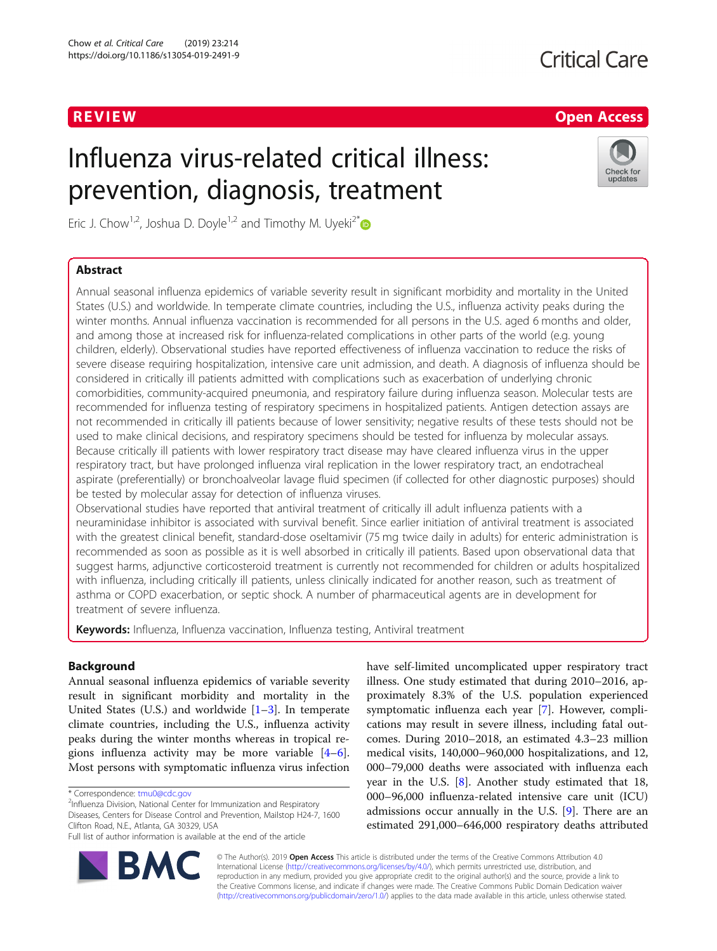# **Critical Care**

# R EVI EW Open Access

# Influenza virus-related critical illness: prevention, diagnosis, treatment



Eric J. Chow<sup>1,2</sup>, Joshua D. Doyle<sup>1,2</sup> and Timothy M. Uyeki<sup>2[\\*](http://orcid.org/0000-0001-5338-8668)</sup>

# Abstract

Annual seasonal influenza epidemics of variable severity result in significant morbidity and mortality in the United States (U.S.) and worldwide. In temperate climate countries, including the U.S., influenza activity peaks during the winter months. Annual influenza vaccination is recommended for all persons in the U.S. aged 6 months and older, and among those at increased risk for influenza-related complications in other parts of the world (e.g. young children, elderly). Observational studies have reported effectiveness of influenza vaccination to reduce the risks of severe disease requiring hospitalization, intensive care unit admission, and death. A diagnosis of influenza should be considered in critically ill patients admitted with complications such as exacerbation of underlying chronic comorbidities, community-acquired pneumonia, and respiratory failure during influenza season. Molecular tests are recommended for influenza testing of respiratory specimens in hospitalized patients. Antigen detection assays are not recommended in critically ill patients because of lower sensitivity; negative results of these tests should not be used to make clinical decisions, and respiratory specimens should be tested for influenza by molecular assays. Because critically ill patients with lower respiratory tract disease may have cleared influenza virus in the upper respiratory tract, but have prolonged influenza viral replication in the lower respiratory tract, an endotracheal aspirate (preferentially) or bronchoalveolar lavage fluid specimen (if collected for other diagnostic purposes) should be tested by molecular assay for detection of influenza viruses.

Observational studies have reported that antiviral treatment of critically ill adult influenza patients with a neuraminidase inhibitor is associated with survival benefit. Since earlier initiation of antiviral treatment is associated with the greatest clinical benefit, standard-dose oseltamivir (75 mg twice daily in adults) for enteric administration is recommended as soon as possible as it is well absorbed in critically ill patients. Based upon observational data that suggest harms, adjunctive corticosteroid treatment is currently not recommended for children or adults hospitalized with influenza, including critically ill patients, unless clinically indicated for another reason, such as treatment of asthma or COPD exacerbation, or septic shock. A number of pharmaceutical agents are in development for treatment of severe influenza.

Keywords: Influenza, Influenza vaccination, Influenza testing, Antiviral treatment

# Background

Annual seasonal influenza epidemics of variable severity result in significant morbidity and mortality in the United States (U.S.) and worldwide  $[1-3]$  $[1-3]$  $[1-3]$  $[1-3]$ . In temperate climate countries, including the U.S., influenza activity peaks during the winter months whereas in tropical regions influenza activity may be more variable [\[4](#page-7-0)–[6](#page-7-0)]. Most persons with symptomatic influenza virus infection

 $2$ Influenza Division, National Center for Immunization and Respiratory Diseases, Centers for Disease Control and Prevention, Mailstop H24-7, 1600 Clifton Road, N.E., Atlanta, GA 30329, USA Full list of author information is available at the end of the article

have self-limited uncomplicated upper respiratory tract illness. One study estimated that during 2010–2016, approximately 8.3% of the U.S. population experienced symptomatic influenza each year [\[7](#page-7-0)]. However, complications may result in severe illness, including fatal outcomes. During 2010–2018, an estimated 4.3–23 million medical visits, 140,000–960,000 hospitalizations, and 12, 000–79,000 deaths were associated with influenza each year in the U.S. [\[8](#page-7-0)]. Another study estimated that 18, 000–96,000 influenza-related intensive care unit (ICU) admissions occur annually in the U.S. [\[9](#page-7-0)]. There are an estimated 291,000–646,000 respiratory deaths attributed



© The Author(s). 2019 **Open Access** This article is distributed under the terms of the Creative Commons Attribution 4.0 International License [\(http://creativecommons.org/licenses/by/4.0/](http://creativecommons.org/licenses/by/4.0/)), which permits unrestricted use, distribution, and reproduction in any medium, provided you give appropriate credit to the original author(s) and the source, provide a link to the Creative Commons license, and indicate if changes were made. The Creative Commons Public Domain Dedication waiver [\(http://creativecommons.org/publicdomain/zero/1.0/](http://creativecommons.org/publicdomain/zero/1.0/)) applies to the data made available in this article, unless otherwise stated.

<sup>\*</sup> Correspondence: [tmu0@cdc.gov](mailto:tmu0@cdc.gov) <sup>2</sup>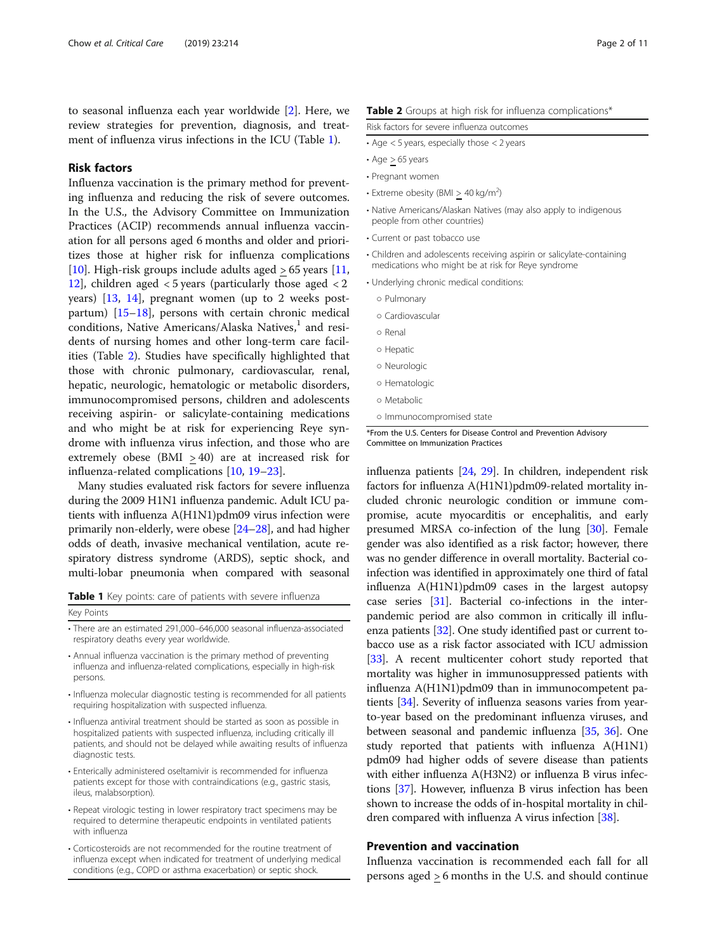to seasonal influenza each year worldwide [\[2](#page-7-0)]. Here, we review strategies for prevention, diagnosis, and treatment of influenza virus infections in the ICU (Table 1).

# Risk factors

Influenza vaccination is the primary method for preventing influenza and reducing the risk of severe outcomes. In the U.S., the Advisory Committee on Immunization Practices (ACIP) recommends annual influenza vaccination for all persons aged 6 months and older and prioritizes those at higher risk for influenza complications [[10\]](#page-7-0). High-risk groups include adults aged  $> 65$  years [[11](#page-8-0), [12\]](#page-8-0), children aged < 5 years (particularly those aged < 2 years) [\[13](#page-8-0), [14\]](#page-8-0), pregnant women (up to 2 weeks postpartum) [\[15](#page-8-0)–[18](#page-8-0)], persons with certain chronic medical conditions, Native Americans/Alaska Natives,<sup>1</sup> and residents of nursing homes and other long-term care facilities (Table 2). Studies have specifically highlighted that those with chronic pulmonary, cardiovascular, renal, hepatic, neurologic, hematologic or metabolic disorders, immunocompromised persons, children and adolescents receiving aspirin- or salicylate-containing medications and who might be at risk for experiencing Reye syndrome with influenza virus infection, and those who are extremely obese (BMI > 40) are at increased risk for influenza-related complications [\[10](#page-7-0), [19](#page-8-0)–[23\]](#page-8-0).

Many studies evaluated risk factors for severe influenza during the 2009 H1N1 influenza pandemic. Adult ICU patients with influenza A(H1N1)pdm09 virus infection were primarily non-elderly, were obese [[24](#page-8-0)–[28\]](#page-8-0), and had higher odds of death, invasive mechanical ventilation, acute respiratory distress syndrome (ARDS), septic shock, and multi-lobar pneumonia when compared with seasonal

Table 1 Key points: care of patients with severe influenza Key Points

- There are an estimated 291,000–646,000 seasonal influenza-associated respiratory deaths every year worldwide.
- Annual influenza vaccination is the primary method of preventing influenza and influenza-related complications, especially in high-risk persons.
- Influenza molecular diagnostic testing is recommended for all patients requiring hospitalization with suspected influenza.
- Influenza antiviral treatment should be started as soon as possible in hospitalized patients with suspected influenza, including critically ill patients, and should not be delayed while awaiting results of influenza diagnostic tests.
- Enterically administered oseltamivir is recommended for influenza patients except for those with contraindications (e.g., gastric stasis, ileus, malabsorption).
- Repeat virologic testing in lower respiratory tract specimens may be required to determine therapeutic endpoints in ventilated patients with influenza
- Corticosteroids are not recommended for the routine treatment of influenza except when indicated for treatment of underlying medical conditions (e.g., COPD or asthma exacerbation) or septic shock.

| Table 2 Groups at high risk for influenza complications* |  |
|----------------------------------------------------------|--|
|----------------------------------------------------------|--|

|  |  |  |  |  | Risk factors for severe influenza outcomes |
|--|--|--|--|--|--------------------------------------------|
|--|--|--|--|--|--------------------------------------------|

- Age < 5 years, especially those < 2 years
- $\cdot$  Age  $>$  65 years
- Pregnant women
- Extreme obesity (BMI  $>$  40 kg/m<sup>2</sup>)
- Native Americans/Alaskan Natives (may also apply to indigenous people from other countries)
- Current or past tobacco use
- Children and adolescents receiving aspirin or salicylate-containing medications who might be at risk for Reye syndrome
- Underlying chronic medical conditions:
	- Pulmonary
	- Cardiovascular
	- Renal
	- Hepatic
	- Neurologic
	- Hematologic
	- Metabolic
	- Immunocompromised state

\*From the U.S. Centers for Disease Control and Prevention Advisory Committee on Immunization Practices

influenza patients [[24,](#page-8-0) [29](#page-8-0)]. In children, independent risk factors for influenza A(H1N1)pdm09-related mortality included chronic neurologic condition or immune compromise, acute myocarditis or encephalitis, and early presumed MRSA co-infection of the lung [\[30\]](#page-8-0). Female gender was also identified as a risk factor; however, there was no gender difference in overall mortality. Bacterial coinfection was identified in approximately one third of fatal influenza A(H1N1)pdm09 cases in the largest autopsy case series  $[31]$  $[31]$ . Bacterial co-infections in the interpandemic period are also common in critically ill influenza patients [[32\]](#page-8-0). One study identified past or current tobacco use as a risk factor associated with ICU admission [[33](#page-8-0)]. A recent multicenter cohort study reported that mortality was higher in immunosuppressed patients with influenza A(H1N1)pdm09 than in immunocompetent patients [\[34\]](#page-8-0). Severity of influenza seasons varies from yearto-year based on the predominant influenza viruses, and between seasonal and pandemic influenza [\[35,](#page-8-0) [36\]](#page-8-0). One study reported that patients with influenza A(H1N1) pdm09 had higher odds of severe disease than patients with either influenza A(H3N2) or influenza B virus infections [\[37\]](#page-8-0). However, influenza B virus infection has been shown to increase the odds of in-hospital mortality in children compared with influenza A virus infection [[38](#page-8-0)].

# Prevention and vaccination

Influenza vaccination is recommended each fall for all persons aged > 6 months in the U.S. and should continue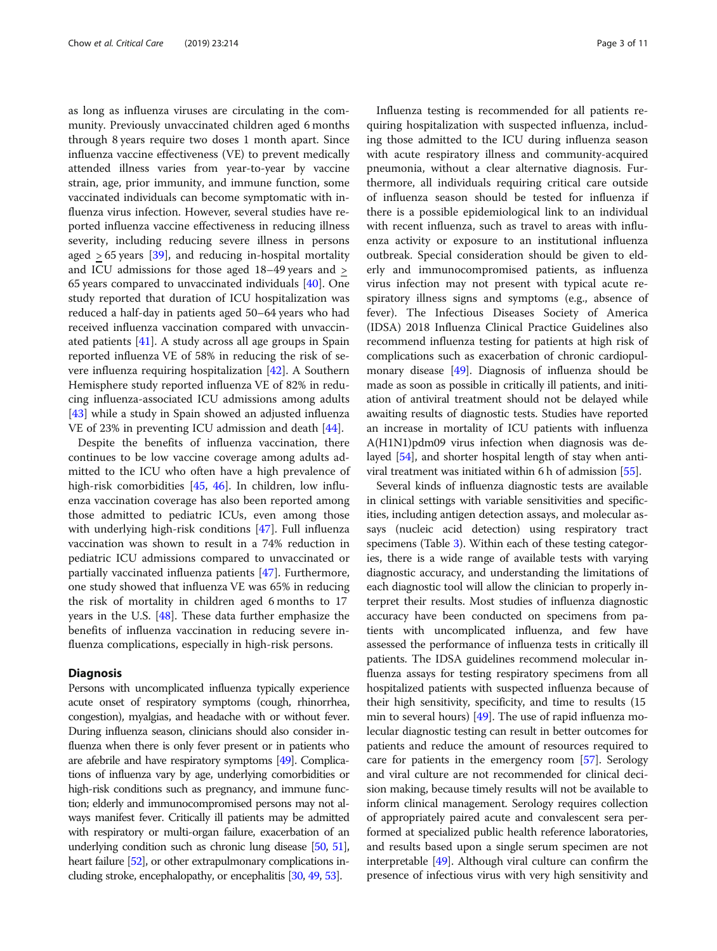as long as influenza viruses are circulating in the community. Previously unvaccinated children aged 6 months through 8 years require two doses 1 month apart. Since influenza vaccine effectiveness (VE) to prevent medically attended illness varies from year-to-year by vaccine strain, age, prior immunity, and immune function, some vaccinated individuals can become symptomatic with influenza virus infection. However, several studies have reported influenza vaccine effectiveness in reducing illness severity, including reducing severe illness in persons aged  $> 65$  years [[39\]](#page-8-0), and reducing in-hospital mortality and ICU admissions for those aged 18–49 years and > 65 years compared to unvaccinated individuals [[40\]](#page-8-0). One study reported that duration of ICU hospitalization was reduced a half-day in patients aged 50–64 years who had received influenza vaccination compared with unvaccinated patients [\[41](#page-8-0)]. A study across all age groups in Spain reported influenza VE of 58% in reducing the risk of severe influenza requiring hospitalization [\[42](#page-8-0)]. A Southern Hemisphere study reported influenza VE of 82% in reducing influenza-associated ICU admissions among adults [[43\]](#page-8-0) while a study in Spain showed an adjusted influenza VE of 23% in preventing ICU admission and death [[44](#page-8-0)].

Despite the benefits of influenza vaccination, there continues to be low vaccine coverage among adults admitted to the ICU who often have a high prevalence of high-risk comorbidities [[45,](#page-8-0) [46\]](#page-8-0). In children, low influenza vaccination coverage has also been reported among those admitted to pediatric ICUs, even among those with underlying high-risk conditions [\[47](#page-8-0)]. Full influenza vaccination was shown to result in a 74% reduction in pediatric ICU admissions compared to unvaccinated or partially vaccinated influenza patients [[47\]](#page-8-0). Furthermore, one study showed that influenza VE was 65% in reducing the risk of mortality in children aged 6 months to 17 years in the U.S. [\[48\]](#page-8-0). These data further emphasize the benefits of influenza vaccination in reducing severe influenza complications, especially in high-risk persons.

# Diagnosis

Persons with uncomplicated influenza typically experience acute onset of respiratory symptoms (cough, rhinorrhea, congestion), myalgias, and headache with or without fever. During influenza season, clinicians should also consider influenza when there is only fever present or in patients who are afebrile and have respiratory symptoms [\[49\]](#page-8-0). Complications of influenza vary by age, underlying comorbidities or high-risk conditions such as pregnancy, and immune function; elderly and immunocompromised persons may not always manifest fever. Critically ill patients may be admitted with respiratory or multi-organ failure, exacerbation of an underlying condition such as chronic lung disease [\[50,](#page-8-0) [51](#page-8-0)], heart failure [[52\]](#page-8-0), or other extrapulmonary complications including stroke, encephalopathy, or encephalitis [\[30,](#page-8-0) [49](#page-8-0), [53](#page-8-0)].

Influenza testing is recommended for all patients requiring hospitalization with suspected influenza, including those admitted to the ICU during influenza season with acute respiratory illness and community-acquired pneumonia, without a clear alternative diagnosis. Furthermore, all individuals requiring critical care outside of influenza season should be tested for influenza if there is a possible epidemiological link to an individual with recent influenza, such as travel to areas with influenza activity or exposure to an institutional influenza outbreak. Special consideration should be given to elderly and immunocompromised patients, as influenza virus infection may not present with typical acute respiratory illness signs and symptoms (e.g., absence of fever). The Infectious Diseases Society of America (IDSA) 2018 Influenza Clinical Practice Guidelines also recommend influenza testing for patients at high risk of complications such as exacerbation of chronic cardiopulmonary disease [\[49\]](#page-8-0). Diagnosis of influenza should be made as soon as possible in critically ill patients, and initiation of antiviral treatment should not be delayed while awaiting results of diagnostic tests. Studies have reported an increase in mortality of ICU patients with influenza A(H1N1)pdm09 virus infection when diagnosis was delayed [[54\]](#page-8-0), and shorter hospital length of stay when antiviral treatment was initiated within 6 h of admission [\[55\]](#page-8-0).

Several kinds of influenza diagnostic tests are available in clinical settings with variable sensitivities and specificities, including antigen detection assays, and molecular assays (nucleic acid detection) using respiratory tract specimens (Table [3\)](#page-3-0). Within each of these testing categories, there is a wide range of available tests with varying diagnostic accuracy, and understanding the limitations of each diagnostic tool will allow the clinician to properly interpret their results. Most studies of influenza diagnostic accuracy have been conducted on specimens from patients with uncomplicated influenza, and few have assessed the performance of influenza tests in critically ill patients. The IDSA guidelines recommend molecular influenza assays for testing respiratory specimens from all hospitalized patients with suspected influenza because of their high sensitivity, specificity, and time to results (15 min to several hours)  $[49]$ . The use of rapid influenza molecular diagnostic testing can result in better outcomes for patients and reduce the amount of resources required to care for patients in the emergency room [[57](#page-8-0)]. Serology and viral culture are not recommended for clinical decision making, because timely results will not be available to inform clinical management. Serology requires collection of appropriately paired acute and convalescent sera performed at specialized public health reference laboratories, and results based upon a single serum specimen are not interpretable [\[49\]](#page-8-0). Although viral culture can confirm the presence of infectious virus with very high sensitivity and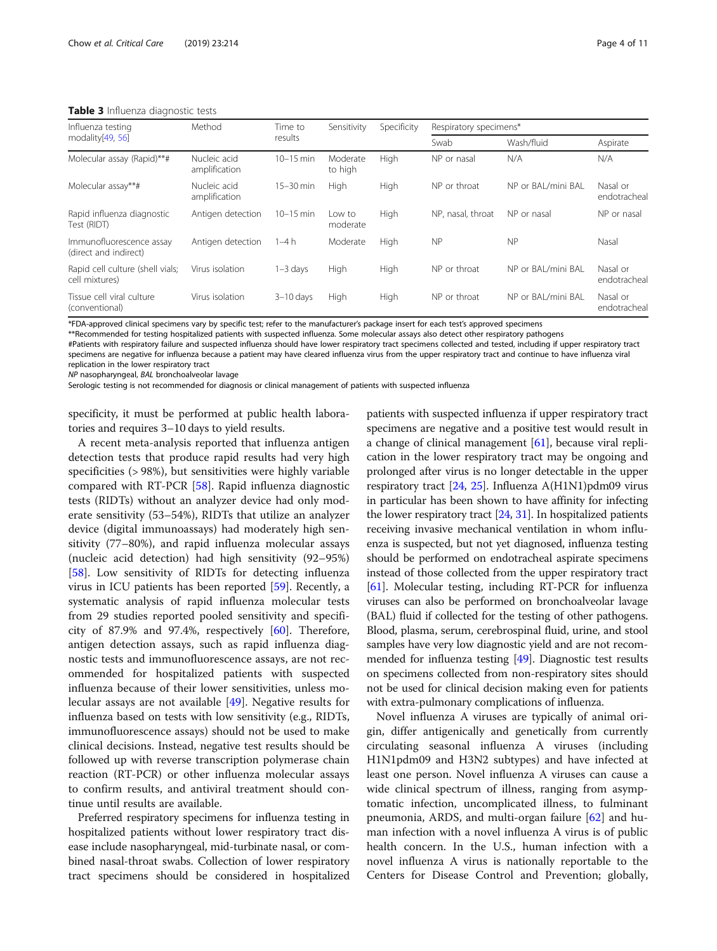#### <span id="page-3-0"></span>Table 3 Influenza diagnostic tests

| Influenza testing<br>modality[49, 56]              | Method                        | Time to<br>results | Sensitivity         | Specificity | Respiratory specimens* |                     |                          |
|----------------------------------------------------|-------------------------------|--------------------|---------------------|-------------|------------------------|---------------------|--------------------------|
|                                                    |                               |                    |                     |             | Swab                   | Wash/fluid          | Aspirate                 |
| Molecular assay (Rapid)**#                         | Nucleic acid<br>amplification | $10 - 15$ min      | Moderate<br>to high | High        | NP or nasal            | N/A                 | N/A                      |
| Molecular assay**#                                 | Nucleic acid<br>amplification | $15 - 30$ min      | High                | High        | NP or throat           | NP or BAI /mini BAI | Nasal or<br>endotracheal |
| Rapid influenza diagnostic<br>Test (RIDT)          | Antigen detection             | $10 - 15$ min      | Low to<br>moderate  | High        | NP. nasal. throat      | NP or nasal         | NP or nasal              |
| Immunofluorescence assay<br>(direct and indirect)  | Antigen detection             | l –4 h             | Moderate            | High        | <b>NP</b>              | <b>NP</b>           | Nasal                    |
| Rapid cell culture (shell vials;<br>cell mixtures) | Virus isolation               | $1-3$ davs         | High                | High        | NP or throat           | NP or BAL/mini BAL  | Nasal or<br>endotracheal |
| Tissue cell viral culture<br>(conventional)        | Virus isolation               | $3-10$ days        | High                | High        | NP or throat           | NP or BAI /mini BAI | Nasal or<br>endotracheal |

\*FDA-approved clinical specimens vary by specific test; refer to the manufacturer's package insert for each test's approved specimens

\*\*Recommended for testing hospitalized patients with suspected influenza. Some molecular assays also detect other respiratory pathogens

#Patients with respiratory failure and suspected influenza should have lower respiratory tract specimens collected and tested, including if upper respiratory tract specimens are negative for influenza because a patient may have cleared influenza virus from the upper respiratory tract and continue to have influenza viral replication in the lower respiratory tract

NP nasopharyngeal, BAL bronchoalveolar lavage

Serologic testing is not recommended for diagnosis or clinical management of patients with suspected influenza

specificity, it must be performed at public health laboratories and requires 3–10 days to yield results.

A recent meta-analysis reported that influenza antigen detection tests that produce rapid results had very high specificities (> 98%), but sensitivities were highly variable compared with RT-PCR [[58\]](#page-9-0). Rapid influenza diagnostic tests (RIDTs) without an analyzer device had only moderate sensitivity (53–54%), RIDTs that utilize an analyzer device (digital immunoassays) had moderately high sensitivity (77–80%), and rapid influenza molecular assays (nucleic acid detection) had high sensitivity (92–95%) [[58\]](#page-9-0). Low sensitivity of RIDTs for detecting influenza virus in ICU patients has been reported [[59](#page-9-0)]. Recently, a systematic analysis of rapid influenza molecular tests from 29 studies reported pooled sensitivity and specificity of 87.9% and 97.4%, respectively  $[60]$  $[60]$ . Therefore, antigen detection assays, such as rapid influenza diagnostic tests and immunofluorescence assays, are not recommended for hospitalized patients with suspected influenza because of their lower sensitivities, unless molecular assays are not available [[49\]](#page-8-0). Negative results for influenza based on tests with low sensitivity (e.g., RIDTs, immunofluorescence assays) should not be used to make clinical decisions. Instead, negative test results should be followed up with reverse transcription polymerase chain reaction (RT-PCR) or other influenza molecular assays to confirm results, and antiviral treatment should continue until results are available.

Preferred respiratory specimens for influenza testing in hospitalized patients without lower respiratory tract disease include nasopharyngeal, mid-turbinate nasal, or combined nasal-throat swabs. Collection of lower respiratory tract specimens should be considered in hospitalized

patients with suspected influenza if upper respiratory tract specimens are negative and a positive test would result in a change of clinical management [\[61\]](#page-9-0), because viral replication in the lower respiratory tract may be ongoing and prolonged after virus is no longer detectable in the upper respiratory tract [\[24,](#page-8-0) [25\]](#page-8-0). Influenza A(H1N1)pdm09 virus in particular has been shown to have affinity for infecting the lower respiratory tract  $[24, 31]$  $[24, 31]$  $[24, 31]$  $[24, 31]$ . In hospitalized patients receiving invasive mechanical ventilation in whom influenza is suspected, but not yet diagnosed, influenza testing should be performed on endotracheal aspirate specimens instead of those collected from the upper respiratory tract [[61](#page-9-0)]. Molecular testing, including RT-PCR for influenza viruses can also be performed on bronchoalveolar lavage (BAL) fluid if collected for the testing of other pathogens. Blood, plasma, serum, cerebrospinal fluid, urine, and stool samples have very low diagnostic yield and are not recommended for influenza testing [[49](#page-8-0)]. Diagnostic test results on specimens collected from non-respiratory sites should not be used for clinical decision making even for patients with extra-pulmonary complications of influenza.

Novel influenza A viruses are typically of animal origin, differ antigenically and genetically from currently circulating seasonal influenza A viruses (including H1N1pdm09 and H3N2 subtypes) and have infected at least one person. Novel influenza A viruses can cause a wide clinical spectrum of illness, ranging from asymptomatic infection, uncomplicated illness, to fulminant pneumonia, ARDS, and multi-organ failure [[62\]](#page-9-0) and human infection with a novel influenza A virus is of public health concern. In the U.S., human infection with a novel influenza A virus is nationally reportable to the Centers for Disease Control and Prevention; globally,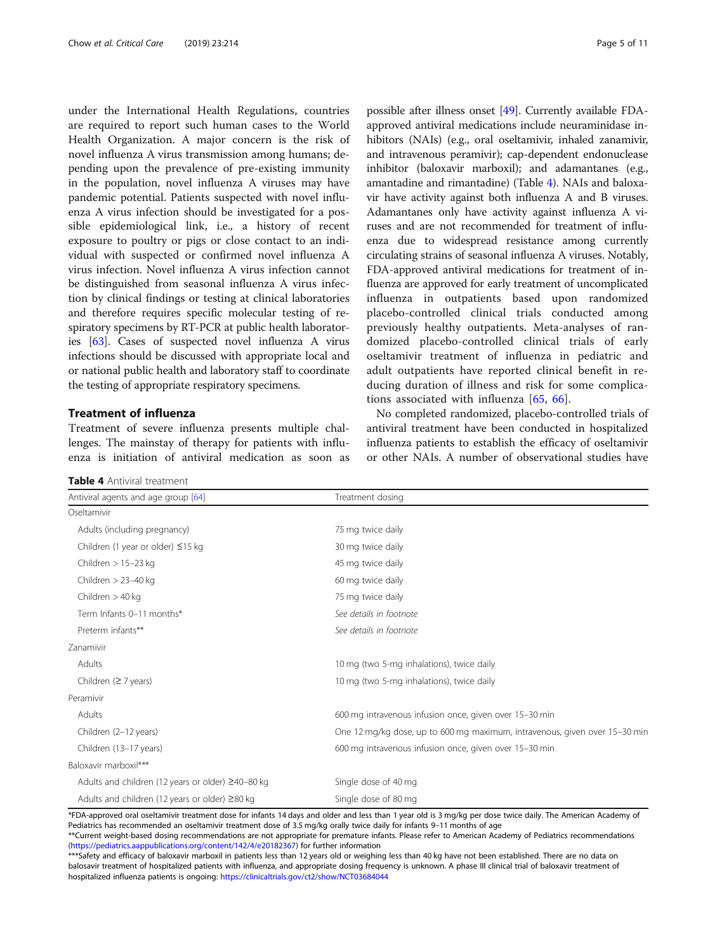under the International Health Regulations, countries are required to report such human cases to the World Health Organization. A major concern is the risk of novel influenza A virus transmission among humans; depending upon the prevalence of pre-existing immunity in the population, novel influenza A viruses may have pandemic potential. Patients suspected with novel influenza A virus infection should be investigated for a possible epidemiological link, i.e., a history of recent exposure to poultry or pigs or close contact to an individual with suspected or confirmed novel influenza A virus infection. Novel influenza A virus infection cannot be distinguished from seasonal influenza A virus infection by clinical findings or testing at clinical laboratories and therefore requires specific molecular testing of respiratory specimens by RT-PCR at public health laboratories [[63](#page-9-0)]. Cases of suspected novel influenza A virus infections should be discussed with appropriate local and or national public health and laboratory staff to coordinate the testing of appropriate respiratory specimens.

# Treatment of influenza

Treatment of severe influenza presents multiple challenges. The mainstay of therapy for patients with influenza is initiation of antiviral medication as soon as

Table 4 Antiviral treatment

possible after illness onset [\[49\]](#page-8-0). Currently available FDAapproved antiviral medications include neuraminidase inhibitors (NAIs) (e.g., oral oseltamivir, inhaled zanamivir, and intravenous peramivir); cap-dependent endonuclease inhibitor (baloxavir marboxil); and adamantanes (e.g., amantadine and rimantadine) (Table 4). NAIs and baloxavir have activity against both influenza A and B viruses. Adamantanes only have activity against influenza A viruses and are not recommended for treatment of influenza due to widespread resistance among currently circulating strains of seasonal influenza A viruses. Notably, FDA-approved antiviral medications for treatment of influenza are approved for early treatment of uncomplicated influenza in outpatients based upon randomized placebo-controlled clinical trials conducted among previously healthy outpatients. Meta-analyses of randomized placebo-controlled clinical trials of early oseltamivir treatment of influenza in pediatric and adult outpatients have reported clinical benefit in reducing duration of illness and risk for some complications associated with influenza [[65,](#page-9-0) [66\]](#page-9-0).

No completed randomized, placebo-controlled trials of antiviral treatment have been conducted in hospitalized influenza patients to establish the efficacy of oseltamivir or other NAIs. A number of observational studies have

| Antiviral agents and age group [64]                     | Treatment dosing                                                           |
|---------------------------------------------------------|----------------------------------------------------------------------------|
| Oseltamivir                                             |                                                                            |
| Adults (including pregnancy)                            | 75 mg twice daily                                                          |
| Children (1 year or older) ≤15 kg                       | 30 mg twice daily                                                          |
| Children $> 15-23$ kg                                   | 45 mg twice daily                                                          |
| Children $> 23-40$ kg                                   | 60 mg twice daily                                                          |
| Children $>$ 40 kg                                      | 75 mg twice daily                                                          |
| Term Infants 0-11 months*                               | See details in footnote                                                    |
| Preterm infants**                                       | See details in footnote                                                    |
| Zanamivir                                               |                                                                            |
| Adults                                                  | 10 mg (two 5-mg inhalations), twice daily                                  |
| Children $(≥ 7 years)$                                  | 10 mg (two 5-mg inhalations), twice daily                                  |
| Peramivir                                               |                                                                            |
| Adults                                                  | 600 mg intravenous infusion once, given over 15-30 min                     |
| Children (2-12 years)                                   | One 12 mg/kg dose, up to 600 mg maximum, intravenous, given over 15-30 min |
| Children (13-17 years)                                  | 600 mg intravenous infusion once, given over 15-30 min                     |
| Baloxavir marboxil***                                   |                                                                            |
| Adults and children (12 years or older) $\geq$ 40-80 kg | Single dose of 40 mg                                                       |
| Adults and children (12 years or older) ≥80 kg          | Single dose of 80 mg                                                       |

\*FDA-approved oral oseltamivir treatment dose for infants 14 days and older and less than 1 year old is 3 mg/kg per dose twice daily. The American Academy of Pediatrics has recommended an oseltamivir treatment dose of 3.5 mg/kg orally twice daily for infants 9–11 months of age

\*\*Current weight-based dosing recommendations are not appropriate for premature infants. Please refer to American Academy of Pediatrics recommendations ([https://pediatrics.aappublications.org/content/142/4/e20182367\)](https://pediatrics.aappublications.org/content/142/4/e20182367) for further information

<sup>\*\*\*</sup>Safety and efficacy of baloxavir marboxil in patients less than 12 years old or weighing less than 40 kg have not been established. There are no data on balosavir treatment of hospitalized patients with influenza, and appropriate dosing frequency is unknown. A phase III clinical trial of baloxavir treatment of hospitalized influenza patients is ongoing: <https://clinicaltrials.gov/ct2/show/NCT03684044>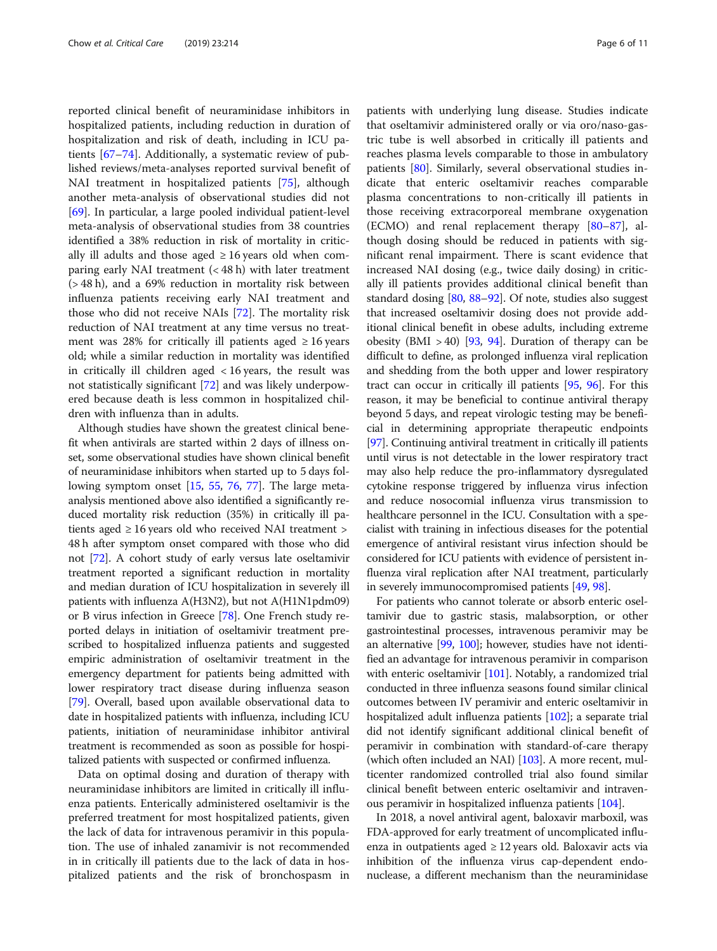reported clinical benefit of neuraminidase inhibitors in hospitalized patients, including reduction in duration of hospitalization and risk of death, including in ICU patients [[67](#page-9-0)–[74\]](#page-9-0). Additionally, a systematic review of published reviews/meta-analyses reported survival benefit of NAI treatment in hospitalized patients [[75\]](#page-9-0), although another meta-analysis of observational studies did not [[69\]](#page-9-0). In particular, a large pooled individual patient-level meta-analysis of observational studies from 38 countries identified a 38% reduction in risk of mortality in critically ill adults and those aged  $\geq 16$  years old when comparing early NAI treatment (< 48 h) with later treatment (> 48 h), and a 69% reduction in mortality risk between influenza patients receiving early NAI treatment and those who did not receive NAIs [[72](#page-9-0)]. The mortality risk reduction of NAI treatment at any time versus no treatment was 28% for critically ill patients aged  $\geq 16$  years old; while a similar reduction in mortality was identified in critically ill children aged < 16 years, the result was not statistically significant [\[72](#page-9-0)] and was likely underpowered because death is less common in hospitalized children with influenza than in adults.

Although studies have shown the greatest clinical benefit when antivirals are started within 2 days of illness onset, some observational studies have shown clinical benefit of neuraminidase inhibitors when started up to 5 days following symptom onset [[15](#page-8-0), [55](#page-8-0), [76,](#page-9-0) [77\]](#page-9-0). The large metaanalysis mentioned above also identified a significantly reduced mortality risk reduction (35%) in critically ill patients aged ≥ 16 years old who received NAI treatment > 48 h after symptom onset compared with those who did not [\[72](#page-9-0)]. A cohort study of early versus late oseltamivir treatment reported a significant reduction in mortality and median duration of ICU hospitalization in severely ill patients with influenza A(H3N2), but not A(H1N1pdm09) or B virus infection in Greece [[78](#page-9-0)]. One French study reported delays in initiation of oseltamivir treatment prescribed to hospitalized influenza patients and suggested empiric administration of oseltamivir treatment in the emergency department for patients being admitted with lower respiratory tract disease during influenza season [[79](#page-9-0)]. Overall, based upon available observational data to date in hospitalized patients with influenza, including ICU patients, initiation of neuraminidase inhibitor antiviral treatment is recommended as soon as possible for hospitalized patients with suspected or confirmed influenza.

Data on optimal dosing and duration of therapy with neuraminidase inhibitors are limited in critically ill influenza patients. Enterically administered oseltamivir is the preferred treatment for most hospitalized patients, given the lack of data for intravenous peramivir in this population. The use of inhaled zanamivir is not recommended in in critically ill patients due to the lack of data in hospitalized patients and the risk of bronchospasm in patients with underlying lung disease. Studies indicate that oseltamivir administered orally or via oro/naso-gastric tube is well absorbed in critically ill patients and reaches plasma levels comparable to those in ambulatory patients [[80\]](#page-9-0). Similarly, several observational studies indicate that enteric oseltamivir reaches comparable plasma concentrations to non-critically ill patients in those receiving extracorporeal membrane oxygenation  $(ECMO)$  and renal replacement therapy  $[80-87]$  $[80-87]$  $[80-87]$  $[80-87]$  $[80-87]$ , although dosing should be reduced in patients with significant renal impairment. There is scant evidence that increased NAI dosing (e.g., twice daily dosing) in critically ill patients provides additional clinical benefit than standard dosing [\[80,](#page-9-0) [88](#page-9-0)–[92\]](#page-9-0). Of note, studies also suggest that increased oseltamivir dosing does not provide additional clinical benefit in obese adults, including extreme obesity  $(BMI > 40)$  [\[93,](#page-9-0) [94\]](#page-9-0). Duration of therapy can be difficult to define, as prolonged influenza viral replication and shedding from the both upper and lower respiratory tract can occur in critically ill patients [[95](#page-9-0), [96](#page-9-0)]. For this reason, it may be beneficial to continue antiviral therapy beyond 5 days, and repeat virologic testing may be beneficial in determining appropriate therapeutic endpoints [[97](#page-9-0)]. Continuing antiviral treatment in critically ill patients until virus is not detectable in the lower respiratory tract may also help reduce the pro-inflammatory dysregulated cytokine response triggered by influenza virus infection and reduce nosocomial influenza virus transmission to healthcare personnel in the ICU. Consultation with a specialist with training in infectious diseases for the potential emergence of antiviral resistant virus infection should be considered for ICU patients with evidence of persistent influenza viral replication after NAI treatment, particularly in severely immunocompromised patients [\[49,](#page-8-0) [98](#page-9-0)].

For patients who cannot tolerate or absorb enteric oseltamivir due to gastric stasis, malabsorption, or other gastrointestinal processes, intravenous peramivir may be an alternative [[99,](#page-9-0) [100\]](#page-9-0); however, studies have not identified an advantage for intravenous peramivir in comparison with enteric oseltamivir [[101\]](#page-9-0). Notably, a randomized trial conducted in three influenza seasons found similar clinical outcomes between IV peramivir and enteric oseltamivir in hospitalized adult influenza patients [\[102\]](#page-9-0); a separate trial did not identify significant additional clinical benefit of peramivir in combination with standard-of-care therapy (which often included an NAI) [[103\]](#page-10-0). A more recent, multicenter randomized controlled trial also found similar clinical benefit between enteric oseltamivir and intravenous peramivir in hospitalized influenza patients [\[104\]](#page-10-0).

In 2018, a novel antiviral agent, baloxavir marboxil, was FDA-approved for early treatment of uncomplicated influenza in outpatients aged  $\geq 12$  years old. Baloxavir acts via inhibition of the influenza virus cap-dependent endonuclease, a different mechanism than the neuraminidase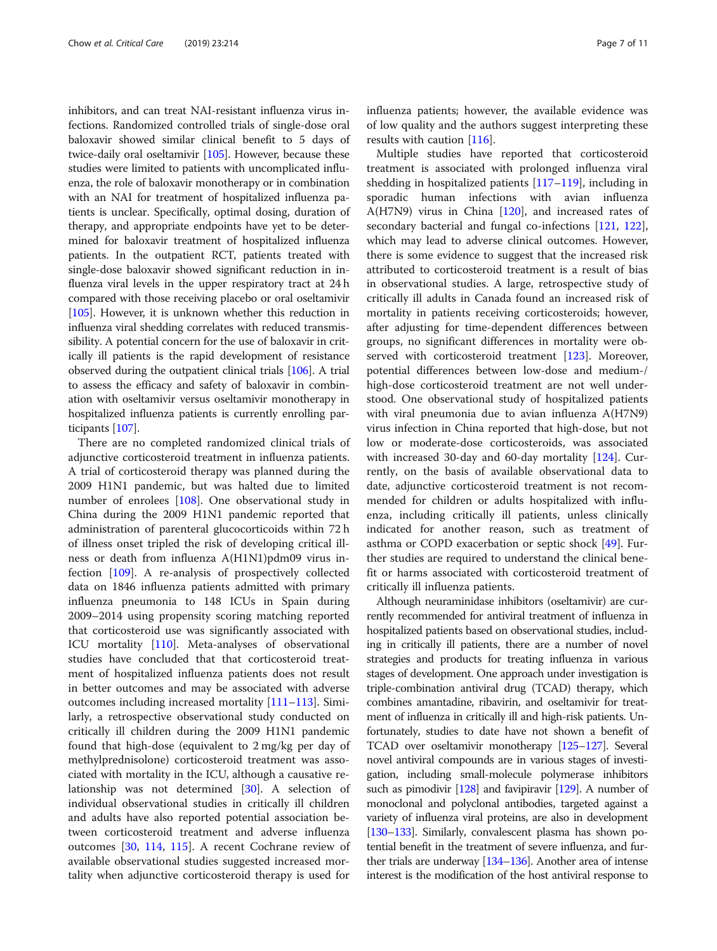inhibitors, and can treat NAI-resistant influenza virus infections. Randomized controlled trials of single-dose oral baloxavir showed similar clinical benefit to 5 days of twice-daily oral oseltamivir [[105](#page-10-0)]. However, because these studies were limited to patients with uncomplicated influenza, the role of baloxavir monotherapy or in combination with an NAI for treatment of hospitalized influenza patients is unclear. Specifically, optimal dosing, duration of therapy, and appropriate endpoints have yet to be determined for baloxavir treatment of hospitalized influenza patients. In the outpatient RCT, patients treated with single-dose baloxavir showed significant reduction in influenza viral levels in the upper respiratory tract at 24 h compared with those receiving placebo or oral oseltamivir [[105](#page-10-0)]. However, it is unknown whether this reduction in influenza viral shedding correlates with reduced transmissibility. A potential concern for the use of baloxavir in critically ill patients is the rapid development of resistance observed during the outpatient clinical trials [[106](#page-10-0)]. A trial to assess the efficacy and safety of baloxavir in combination with oseltamivir versus oseltamivir monotherapy in hospitalized influenza patients is currently enrolling participants [\[107\]](#page-10-0).

There are no completed randomized clinical trials of adjunctive corticosteroid treatment in influenza patients. A trial of corticosteroid therapy was planned during the 2009 H1N1 pandemic, but was halted due to limited number of enrolees [[108](#page-10-0)]. One observational study in China during the 2009 H1N1 pandemic reported that administration of parenteral glucocorticoids within 72 h of illness onset tripled the risk of developing critical illness or death from influenza A(H1N1)pdm09 virus infection [[109](#page-10-0)]. A re-analysis of prospectively collected data on 1846 influenza patients admitted with primary influenza pneumonia to 148 ICUs in Spain during 2009–2014 using propensity scoring matching reported that corticosteroid use was significantly associated with ICU mortality [[110](#page-10-0)]. Meta-analyses of observational studies have concluded that that corticosteroid treatment of hospitalized influenza patients does not result in better outcomes and may be associated with adverse outcomes including increased mortality [[111](#page-10-0)–[113](#page-10-0)]. Similarly, a retrospective observational study conducted on critically ill children during the 2009 H1N1 pandemic found that high-dose (equivalent to 2 mg/kg per day of methylprednisolone) corticosteroid treatment was associated with mortality in the ICU, although a causative relationship was not determined [\[30](#page-8-0)]. A selection of individual observational studies in critically ill children and adults have also reported potential association between corticosteroid treatment and adverse influenza outcomes [[30,](#page-8-0) [114](#page-10-0), [115](#page-10-0)]. A recent Cochrane review of available observational studies suggested increased mortality when adjunctive corticosteroid therapy is used for influenza patients; however, the available evidence was of low quality and the authors suggest interpreting these results with caution [[116](#page-10-0)].

Multiple studies have reported that corticosteroid treatment is associated with prolonged influenza viral shedding in hospitalized patients [[117](#page-10-0)–[119\]](#page-10-0), including in sporadic human infections with avian influenza A(H7N9) virus in China [[120\]](#page-10-0), and increased rates of secondary bacterial and fungal co-infections [\[121](#page-10-0), [122](#page-10-0)], which may lead to adverse clinical outcomes. However, there is some evidence to suggest that the increased risk attributed to corticosteroid treatment is a result of bias in observational studies. A large, retrospective study of critically ill adults in Canada found an increased risk of mortality in patients receiving corticosteroids; however, after adjusting for time-dependent differences between groups, no significant differences in mortality were ob-served with corticosteroid treatment [\[123](#page-10-0)]. Moreover, potential differences between low-dose and medium-/ high-dose corticosteroid treatment are not well understood. One observational study of hospitalized patients with viral pneumonia due to avian influenza A(H7N9) virus infection in China reported that high-dose, but not low or moderate-dose corticosteroids, was associated with increased 30-day and 60-day mortality [\[124](#page-10-0)]. Currently, on the basis of available observational data to date, adjunctive corticosteroid treatment is not recommended for children or adults hospitalized with influenza, including critically ill patients, unless clinically indicated for another reason, such as treatment of asthma or COPD exacerbation or septic shock [[49\]](#page-8-0). Further studies are required to understand the clinical benefit or harms associated with corticosteroid treatment of critically ill influenza patients.

Although neuraminidase inhibitors (oseltamivir) are currently recommended for antiviral treatment of influenza in hospitalized patients based on observational studies, including in critically ill patients, there are a number of novel strategies and products for treating influenza in various stages of development. One approach under investigation is triple-combination antiviral drug (TCAD) therapy, which combines amantadine, ribavirin, and oseltamivir for treatment of influenza in critically ill and high-risk patients. Unfortunately, studies to date have not shown a benefit of TCAD over oseltamivir monotherapy [[125](#page-10-0)–[127\]](#page-10-0). Several novel antiviral compounds are in various stages of investigation, including small-molecule polymerase inhibitors such as pimodivir [\[128](#page-10-0)] and favipiravir [\[129](#page-10-0)]. A number of monoclonal and polyclonal antibodies, targeted against a variety of influenza viral proteins, are also in development [[130](#page-10-0)–[133\]](#page-10-0). Similarly, convalescent plasma has shown potential benefit in the treatment of severe influenza, and further trials are underway [[134](#page-10-0)–[136\]](#page-10-0). Another area of intense interest is the modification of the host antiviral response to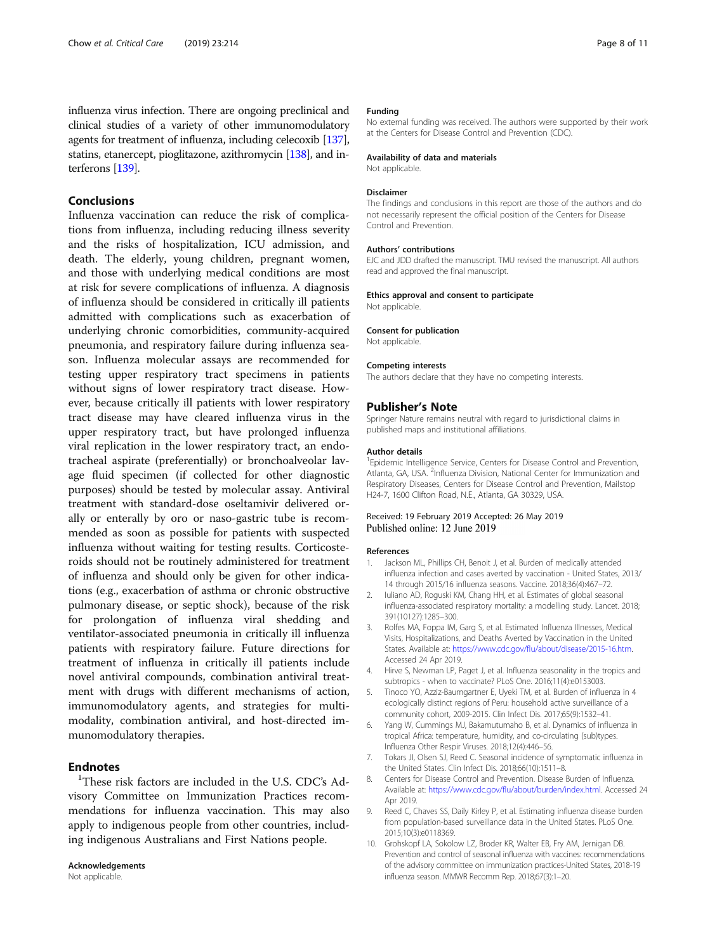<span id="page-7-0"></span>influenza virus infection. There are ongoing preclinical and clinical studies of a variety of other immunomodulatory agents for treatment of influenza, including celecoxib [\[137](#page-10-0)], statins, etanercept, pioglitazone, azithromycin [[138\]](#page-10-0), and interferons [\[139](#page-10-0)].

# Conclusions

Influenza vaccination can reduce the risk of complications from influenza, including reducing illness severity and the risks of hospitalization, ICU admission, and death. The elderly, young children, pregnant women, and those with underlying medical conditions are most at risk for severe complications of influenza. A diagnosis of influenza should be considered in critically ill patients admitted with complications such as exacerbation of underlying chronic comorbidities, community-acquired pneumonia, and respiratory failure during influenza season. Influenza molecular assays are recommended for testing upper respiratory tract specimens in patients without signs of lower respiratory tract disease. However, because critically ill patients with lower respiratory tract disease may have cleared influenza virus in the upper respiratory tract, but have prolonged influenza viral replication in the lower respiratory tract, an endotracheal aspirate (preferentially) or bronchoalveolar lavage fluid specimen (if collected for other diagnostic purposes) should be tested by molecular assay. Antiviral treatment with standard-dose oseltamivir delivered orally or enterally by oro or naso-gastric tube is recommended as soon as possible for patients with suspected influenza without waiting for testing results. Corticosteroids should not be routinely administered for treatment of influenza and should only be given for other indications (e.g., exacerbation of asthma or chronic obstructive pulmonary disease, or septic shock), because of the risk for prolongation of influenza viral shedding and ventilator-associated pneumonia in critically ill influenza patients with respiratory failure. Future directions for treatment of influenza in critically ill patients include novel antiviral compounds, combination antiviral treatment with drugs with different mechanisms of action, immunomodulatory agents, and strategies for multimodality, combination antiviral, and host-directed immunomodulatory therapies.

# **Endnotes**

These risk factors are included in the U.S. CDC's Advisory Committee on Immunization Practices recommendations for influenza vaccination. This may also apply to indigenous people from other countries, including indigenous Australians and First Nations people.

## Acknowledgements

Not applicable.

#### Funding

No external funding was received. The authors were supported by their work at the Centers for Disease Control and Prevention (CDC).

#### Availability of data and materials

Not applicable.

#### Disclaimer

The findings and conclusions in this report are those of the authors and do not necessarily represent the official position of the Centers for Disease Control and Prevention.

#### Authors' contributions

EJC and JDD drafted the manuscript. TMU revised the manuscript. All authors read and approved the final manuscript.

#### Ethics approval and consent to participate

Not applicable.

#### Consent for publication

Not applicable.

#### Competing interests

The authors declare that they have no competing interests.

#### Publisher's Note

Springer Nature remains neutral with regard to jurisdictional claims in published maps and institutional affiliations.

#### Author details

1 Epidemic Intelligence Service, Centers for Disease Control and Prevention, Atlanta, GA, USA. <sup>2</sup>Influenza Division, National Center for Immunization and Respiratory Diseases, Centers for Disease Control and Prevention, Mailstop H24-7, 1600 Clifton Road, N.E., Atlanta, GA 30329, USA.

## Received: 19 February 2019 Accepted: 26 May 2019 Published online: 12 June 2019

#### References

- 1. Jackson ML, Phillips CH, Benoit J, et al. Burden of medically attended influenza infection and cases averted by vaccination - United States, 2013/ 14 through 2015/16 influenza seasons. Vaccine. 2018;36(4):467–72.
- 2. Iuliano AD, Roguski KM, Chang HH, et al. Estimates of global seasonal influenza-associated respiratory mortality: a modelling study. Lancet. 2018; 391(10127):1285–300.
- 3. Rolfes MA, Foppa IM, Garg S, et al. Estimated Influenza Illnesses, Medical Visits, Hospitalizations, and Deaths Averted by Vaccination in the United States. Available at: [https://www.cdc.gov/flu/about/disease/2015-16.htm.](https://www.cdc.gov/flu/about/disease/2015-16.htm) Accessed 24 Apr 2019.
- 4. Hirve S, Newman LP, Paget J, et al. Influenza seasonality in the tropics and subtropics - when to vaccinate? PLoS One. 2016;11(4):e0153003.
- 5. Tinoco YO, Azziz-Baumgartner E, Uyeki TM, et al. Burden of influenza in 4 ecologically distinct regions of Peru: household active surveillance of a community cohort, 2009-2015. Clin Infect Dis. 2017;65(9):1532–41.
- 6. Yang W, Cummings MJ, Bakamutumaho B, et al. Dynamics of influenza in tropical Africa: temperature, humidity, and co-circulating (sub)types. Influenza Other Respir Viruses. 2018;12(4):446–56.
- 7. Tokars JI, Olsen SJ, Reed C. Seasonal incidence of symptomatic influenza in the United States. Clin Infect Dis. 2018;66(10):1511–8.
- 8. Centers for Disease Control and Prevention. Disease Burden of Influenza. Available at: <https://www.cdc.gov/flu/about/burden/index.html>. Accessed 24 Apr 2019.
- 9. Reed C, Chaves SS, Daily Kirley P, et al. Estimating influenza disease burden from population-based surveillance data in the United States. PLoS One. 2015;10(3):e0118369.
- 10. Grohskopf LA, Sokolow LZ, Broder KR, Walter EB, Fry AM, Jernigan DB. Prevention and control of seasonal influenza with vaccines: recommendations of the advisory committee on immunization practices-United States, 2018-19 influenza season. MMWR Recomm Rep. 2018;67(3):1–20.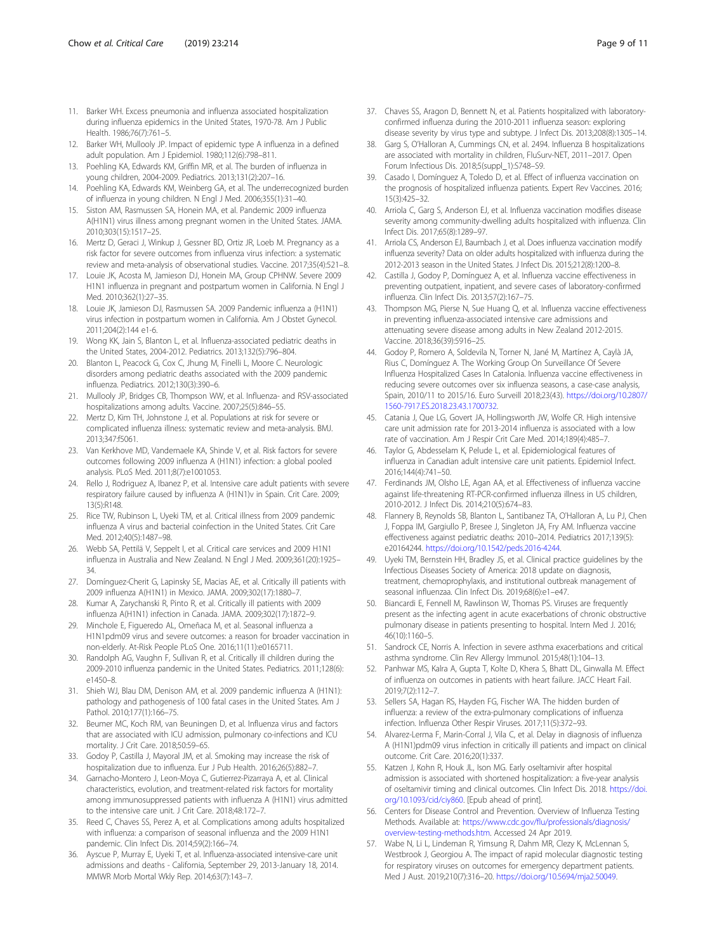- <span id="page-8-0"></span>11. Barker WH. Excess pneumonia and influenza associated hospitalization during influenza epidemics in the United States, 1970-78. Am J Public Health. 1986;76(7):761–5.
- 12. Barker WH, Mullooly JP. Impact of epidemic type A influenza in a defined adult population. Am J Epidemiol. 1980;112(6):798–811.
- 13. Poehling KA, Edwards KM, Griffin MR, et al. The burden of influenza in young children, 2004-2009. Pediatrics. 2013;131(2):207–16.
- 14. Poehling KA, Edwards KM, Weinberg GA, et al. The underrecognized burden of influenza in young children. N Engl J Med. 2006;355(1):31–40.
- 15. Siston AM, Rasmussen SA, Honein MA, et al. Pandemic 2009 influenza A(H1N1) virus illness among pregnant women in the United States. JAMA. 2010;303(15):1517–25.
- 16. Mertz D, Geraci J, Winkup J, Gessner BD, Ortiz JR, Loeb M. Pregnancy as a risk factor for severe outcomes from influenza virus infection: a systematic review and meta-analysis of observational studies. Vaccine. 2017;35(4):521–8.
- 17. Louie JK, Acosta M, Jamieson DJ, Honein MA, Group CPHNW. Severe 2009 H1N1 influenza in pregnant and postpartum women in California. N Engl J Med. 2010;362(1):27–35.
- 18. Louie JK, Jamieson DJ, Rasmussen SA. 2009 Pandemic influenza a (H1N1) virus infection in postpartum women in California. Am J Obstet Gynecol. 2011;204(2):144 e1-6.
- 19. Wong KK, Jain S, Blanton L, et al. Influenza-associated pediatric deaths in the United States, 2004-2012. Pediatrics. 2013;132(5):796–804.
- 20. Blanton L, Peacock G, Cox C, Jhung M, Finelli L, Moore C. Neurologic disorders among pediatric deaths associated with the 2009 pandemic influenza. Pediatrics. 2012;130(3):390–6.
- 21. Mullooly JP, Bridges CB, Thompson WW, et al. Influenza- and RSV-associated hospitalizations among adults. Vaccine. 2007;25(5):846–55.
- 22. Mertz D, Kim TH, Johnstone J, et al. Populations at risk for severe or complicated influenza illness: systematic review and meta-analysis. BMJ. 2013;347:f5061.
- 23. Van Kerkhove MD, Vandemaele KA, Shinde V, et al. Risk factors for severe outcomes following 2009 influenza A (H1N1) infection: a global pooled analysis. PLoS Med. 2011;8(7):e1001053.
- 24. Rello J, Rodriguez A, Ibanez P, et al. Intensive care adult patients with severe respiratory failure caused by influenza A (H1N1)v in Spain. Crit Care. 2009; 13(5):R148.
- 25. Rice TW, Rubinson L, Uyeki TM, et al. Critical illness from 2009 pandemic influenza A virus and bacterial coinfection in the United States. Crit Care Med. 2012;40(5):1487–98.
- 26. Webb SA, Pettilä V, Seppelt I, et al. Critical care services and 2009 H1N1 influenza in Australia and New Zealand. N Engl J Med. 2009;361(20):1925– 34.
- 27. Domínguez-Cherit G, Lapinsky SE, Macias AE, et al. Critically ill patients with 2009 influenza A(H1N1) in Mexico. JAMA. 2009;302(17):1880–7.
- 28. Kumar A, Zarychanski R, Pinto R, et al. Critically ill patients with 2009 influenza A(H1N1) infection in Canada. JAMA. 2009;302(17):1872–9.
- 29. Minchole E, Figueredo AL, Omeñaca M, et al. Seasonal influenza a H1N1pdm09 virus and severe outcomes: a reason for broader vaccination in non-elderly. At-Risk People PLoS One. 2016;11(11):e0165711.
- 30. Randolph AG, Vaughn F, Sullivan R, et al. Critically ill children during the 2009-2010 influenza pandemic in the United States. Pediatrics. 2011;128(6): e1450–8.
- 31. Shieh WJ, Blau DM, Denison AM, et al. 2009 pandemic influenza A (H1N1): pathology and pathogenesis of 100 fatal cases in the United States. Am J Pathol. 2010;177(1):166–75.
- 32. Beumer MC, Koch RM, van Beuningen D, et al. Influenza virus and factors that are associated with ICU admission, pulmonary co-infections and ICU mortality. J Crit Care. 2018;50:59–65.
- 33. Godoy P, Castilla J, Mayoral JM, et al. Smoking may increase the risk of hospitalization due to influenza. Eur J Pub Health. 2016;26(5):882–7.
- 34. Garnacho-Montero J, Leon-Moya C, Gutierrez-Pizarraya A, et al. Clinical characteristics, evolution, and treatment-related risk factors for mortality among immunosuppressed patients with influenza A (H1N1) virus admitted to the intensive care unit. J Crit Care. 2018;48:172–7.
- 35. Reed C, Chaves SS, Perez A, et al. Complications among adults hospitalized with influenza: a comparison of seasonal influenza and the 2009 H1N1 pandemic. Clin Infect Dis. 2014;59(2):166–74.
- 36. Ayscue P, Murray E, Uyeki T, et al. Influenza-associated intensive-care unit admissions and deaths - California, September 29, 2013-January 18, 2014. MMWR Morb Mortal Wkly Rep. 2014;63(7):143–7.
- 37. Chaves SS, Aragon D, Bennett N, et al. Patients hospitalized with laboratoryconfirmed influenza during the 2010-2011 influenza season: exploring disease severity by virus type and subtype. J Infect Dis. 2013;208(8):1305–14.
- 38. Garg S, O'Halloran A, Cummings CN, et al. 2494. Influenza B hospitalizations are associated with mortality in children, FluSurv-NET, 2011–2017. Open Forum Infectious Dis. 2018;5(suppl\_1):S748–S9.
- 39. Casado I, Domínguez A, Toledo D, et al. Effect of influenza vaccination on the prognosis of hospitalized influenza patients. Expert Rev Vaccines. 2016; 15(3):425–32.
- 40. Arriola C, Garg S, Anderson EJ, et al. Influenza vaccination modifies disease severity among community-dwelling adults hospitalized with influenza. Clin Infect Dis. 2017;65(8):1289–97.
- 41. Arriola CS, Anderson EJ, Baumbach J, et al. Does influenza vaccination modify influenza severity? Data on older adults hospitalized with influenza during the 2012-2013 season in the United States. J Infect Dis. 2015;212(8):1200–8.
- 42. Castilla J, Godoy P, Domínguez A, et al. Influenza vaccine effectiveness in preventing outpatient, inpatient, and severe cases of laboratory-confirmed influenza. Clin Infect Dis. 2013;57(2):167–75.
- 43. Thompson MG, Pierse N, Sue Huang Q, et al. Influenza vaccine effectiveness in preventing influenza-associated intensive care admissions and attenuating severe disease among adults in New Zealand 2012-2015. Vaccine. 2018;36(39):5916–25.
- 44. Godoy P, Romero A, Soldevila N, Torner N, Jané M, Martínez A, Caylà JA, Rius C, Domínguez A. The Working Group On Surveillance Of Severe Influenza Hospitalized Cases In Catalonia. Influenza vaccine effectiveness in reducing severe outcomes over six influenza seasons, a case-case analysis, Spain, 2010/11 to 2015/16. Euro Surveill 2018;23(43). [https://doi.org/10.2807/](https://doi.org/10.2807/1560-7917.ES.2018.23.43.1700732) [1560-7917.ES.2018.23.43.1700732.](https://doi.org/10.2807/1560-7917.ES.2018.23.43.1700732)
- 45. Catania J, Que LG, Govert JA, Hollingsworth JW, Wolfe CR. High intensive care unit admission rate for 2013-2014 influenza is associated with a low rate of vaccination. Am J Respir Crit Care Med. 2014;189(4):485–7.
- 46. Taylor G, Abdesselam K, Pelude L, et al. Epidemiological features of influenza in Canadian adult intensive care unit patients. Epidemiol Infect. 2016;144(4):741–50.
- 47. Ferdinands JM, Olsho LE, Agan AA, et al. Effectiveness of influenza vaccine against life-threatening RT-PCR-confirmed influenza illness in US children, 2010-2012. J Infect Dis. 2014;210(5):674–83.
- 48. Flannery B, Reynolds SB, Blanton L, Santibanez TA, O'Halloran A, Lu PJ, Chen J, Foppa IM, Gargiullo P, Bresee J, Singleton JA, Fry AM. Influenza vaccine effectiveness against pediatric deaths: 2010–2014. Pediatrics 2017;139(5): e20164244. <https://doi.org/10.1542/peds.2016-4244>.
- 49. Uyeki TM, Bernstein HH, Bradley JS, et al. Clinical practice guidelines by the Infectious Diseases Society of America: 2018 update on diagnosis, treatment, chemoprophylaxis, and institutional outbreak management of seasonal influenzaa. Clin Infect Dis. 2019;68(6):e1–e47.
- 50. Biancardi E, Fennell M, Rawlinson W, Thomas PS. Viruses are frequently present as the infecting agent in acute exacerbations of chronic obstructive pulmonary disease in patients presenting to hospital. Intern Med J. 2016; 46(10):1160–5.
- 51. Sandrock CE, Norris A. Infection in severe asthma exacerbations and critical asthma syndrome. Clin Rev Allergy Immunol. 2015;48(1):104–13.
- 52. Panhwar MS, Kalra A, Gupta T, Kolte D, Khera S, Bhatt DL, Ginwalla M. Effect of influenza on outcomes in patients with heart failure. JACC Heart Fail. 2019;7(2):112–7.
- 53. Sellers SA, Hagan RS, Hayden FG, Fischer WA. The hidden burden of influenza: a review of the extra-pulmonary complications of influenza infection. Influenza Other Respir Viruses. 2017;11(5):372–93.
- 54. Alvarez-Lerma F, Marin-Corral J, Vila C, et al. Delay in diagnosis of influenza A (H1N1)pdm09 virus infection in critically ill patients and impact on clinical outcome. Crit Care. 2016;20(1):337.
- 55. Katzen J, Kohn R, Houk JL, Ison MG. Early oseltamivir after hospital admission is associated with shortened hospitalization: a five-year analysis of oseltamivir timing and clinical outcomes. Clin Infect Dis. 2018. [https://doi.](https://doi.org/10.1093/cid/ciy860) [org/10.1093/cid/ciy860.](https://doi.org/10.1093/cid/ciy860) [Epub ahead of print].
- 56. Centers for Disease Control and Prevention. Overview of Influenza Testing Methods. Available at: [https://www.cdc.gov/flu/professionals/diagnosis/](https://www.cdc.gov/flu/professionals/diagnosis/overview-testing-methods.htm) [overview-testing-methods.htm](https://www.cdc.gov/flu/professionals/diagnosis/overview-testing-methods.htm). Accessed 24 Apr 2019.
- 57. Wabe N, Li L, Lindeman R, Yimsung R, Dahm MR, Clezy K, McLennan S, Westbrook J, Georgiou A. The impact of rapid molecular diagnostic testing for respiratory viruses on outcomes for emergency department patients. Med J Aust. 2019;210(7):316–20. [https://doi.org/10.5694/mja2.50049.](https://doi.org/10.5694/mja2.50049)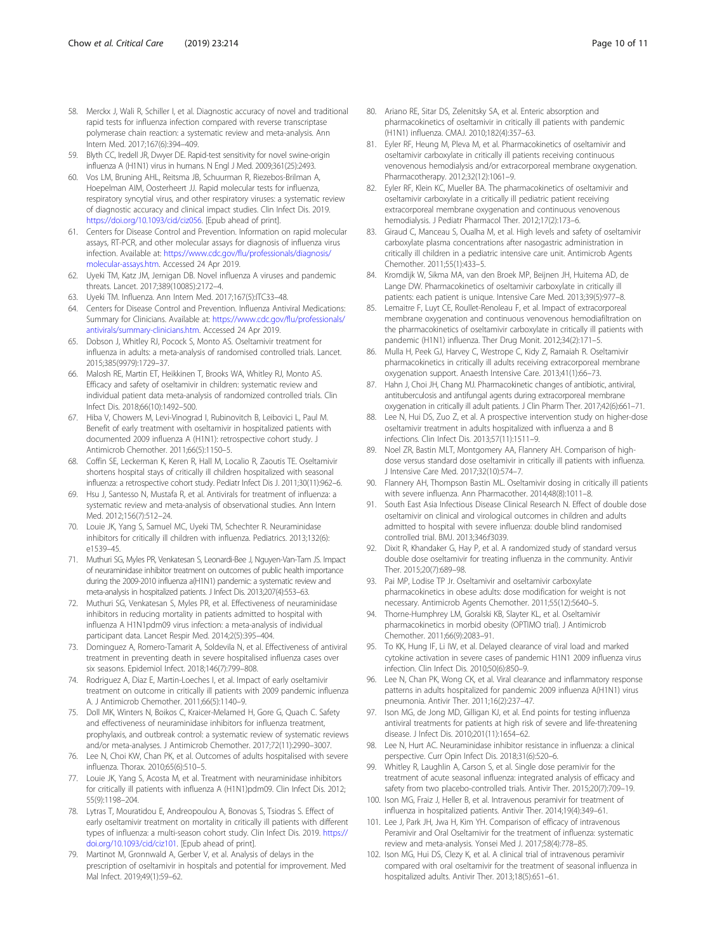- <span id="page-9-0"></span>58. Merckx J, Wali R, Schiller I, et al. Diagnostic accuracy of novel and traditional rapid tests for influenza infection compared with reverse transcriptase polymerase chain reaction: a systematic review and meta-analysis. Ann Intern Med. 2017;167(6):394–409.
- 59. Blyth CC, Iredell JR, Dwyer DE. Rapid-test sensitivity for novel swine-origin influenza A (H1N1) virus in humans. N Engl J Med. 2009;361(25):2493.
- 60. Vos LM, Bruning AHL, Reitsma JB, Schuurman R, Riezebos-Brilman A, Hoepelman AIM, Oosterheert JJ. Rapid molecular tests for influenza, respiratory syncytial virus, and other respiratory viruses: a systematic review of diagnostic accuracy and clinical impact studies. Clin Infect Dis. 2019. <https://doi.org/10.1093/cid/ciz056>. [Epub ahead of print].
- 61. Centers for Disease Control and Prevention. Information on rapid molecular assays, RT-PCR, and other molecular assays for diagnosis of influenza virus infection. Available at: [https://www.cdc.gov/flu/professionals/diagnosis/](https://www.cdc.gov/flu/professionals/diagnosis/molecular-assays.htm) [molecular-assays.htm.](https://www.cdc.gov/flu/professionals/diagnosis/molecular-assays.htm) Accessed 24 Apr 2019.
- 62. Uyeki TM, Katz JM, Jernigan DB. Novel influenza A viruses and pandemic threats. Lancet. 2017;389(10085):2172–4.
- 63. Uyeki TM. Influenza. Ann Intern Med. 2017;167(5):ITC33–48.
- 64. Centers for Disease Control and Prevention. Influenza Antiviral Medications: Summary for Clinicians. Available at: [https://www.cdc.gov/flu/professionals/](https://www.cdc.gov/flu/professionals/antivirals/summary-clinicians.htm) [antivirals/summary-clinicians.htm.](https://www.cdc.gov/flu/professionals/antivirals/summary-clinicians.htm) Accessed 24 Apr 2019.
- 65. Dobson J, Whitley RJ, Pocock S, Monto AS. Oseltamivir treatment for influenza in adults: a meta-analysis of randomised controlled trials. Lancet. 2015;385(9979):1729–37.
- 66. Malosh RE, Martin ET, Heikkinen T, Brooks WA, Whitley RJ, Monto AS. Efficacy and safety of oseltamivir in children: systematic review and individual patient data meta-analysis of randomized controlled trials. Clin Infect Dis. 2018;66(10):1492–500.
- 67. Hiba V, Chowers M, Levi-Vinograd I, Rubinovitch B, Leibovici L, Paul M. Benefit of early treatment with oseltamivir in hospitalized patients with documented 2009 influenza A (H1N1): retrospective cohort study. J Antimicrob Chemother. 2011;66(5):1150–5.
- 68. Coffin SE, Leckerman K, Keren R, Hall M, Localio R, Zaoutis TE. Oseltamivir shortens hospital stays of critically ill children hospitalized with seasonal influenza: a retrospective cohort study. Pediatr Infect Dis J. 2011;30(11):962–6.
- 69. Hsu J, Santesso N, Mustafa R, et al. Antivirals for treatment of influenza: a systematic review and meta-analysis of observational studies. Ann Intern Med. 2012;156(7):512–24.
- 70. Louie JK, Yang S, Samuel MC, Uyeki TM, Schechter R. Neuraminidase inhibitors for critically ill children with influenza. Pediatrics. 2013;132(6): e1539–45.
- 71. Muthuri SG, Myles PR, Venkatesan S, Leonardi-Bee J, Nguyen-Van-Tam JS. Impact of neuraminidase inhibitor treatment on outcomes of public health importance during the 2009-2010 influenza a(H1N1) pandemic: a systematic review and meta-analysis in hospitalized patients. J Infect Dis. 2013;207(4):553–63.
- 72. Muthuri SG, Venkatesan S, Myles PR, et al. Effectiveness of neuraminidase inhibitors in reducing mortality in patients admitted to hospital with influenza A H1N1pdm09 virus infection: a meta-analysis of individual participant data. Lancet Respir Med. 2014;2(5):395–404.
- 73. Dominguez A, Romero-Tamarit A, Soldevila N, et al. Effectiveness of antiviral treatment in preventing death in severe hospitalised influenza cases over six seasons. Epidemiol Infect. 2018;146(7):799–808.
- 74. Rodriguez A, Diaz E, Martin-Loeches I, et al. Impact of early oseltamivir treatment on outcome in critically ill patients with 2009 pandemic influenza A. J Antimicrob Chemother. 2011;66(5):1140–9.
- 75. Doll MK, Winters N, Boikos C, Kraicer-Melamed H, Gore G, Quach C. Safety and effectiveness of neuraminidase inhibitors for influenza treatment, prophylaxis, and outbreak control: a systematic review of systematic reviews and/or meta-analyses. J Antimicrob Chemother. 2017;72(11):2990–3007.
- 76. Lee N, Choi KW, Chan PK, et al. Outcomes of adults hospitalised with severe influenza. Thorax. 2010;65(6):510–5.
- 77. Louie JK, Yang S, Acosta M, et al. Treatment with neuraminidase inhibitors for critically ill patients with influenza A (H1N1)pdm09. Clin Infect Dis. 2012; 55(9):1198–204.
- 78. Lytras T, Mouratidou E, Andreopoulou A, Bonovas S, Tsiodras S. Effect of early oseltamivir treatment on mortality in critically ill patients with different types of influenza: a multi-season cohort study. Clin Infect Dis. 2019. [https://](https://doi.org/10.1093/cid/ciz101) [doi.org/10.1093/cid/ciz101.](https://doi.org/10.1093/cid/ciz101) [Epub ahead of print].
- 79. Martinot M, Gronnwald A, Gerber V, et al. Analysis of delays in the prescription of oseltamivir in hospitals and potential for improvement. Med Mal Infect. 2019;49(1):59–62.
- 80. Ariano RE, Sitar DS, Zelenitsky SA, et al. Enteric absorption and pharmacokinetics of oseltamivir in critically ill patients with pandemic (H1N1) influenza. CMAJ. 2010;182(4):357–63.
- 81. Eyler RF, Heung M, Pleva M, et al. Pharmacokinetics of oseltamivir and oseltamivir carboxylate in critically ill patients receiving continuous venovenous hemodialysis and/or extracorporeal membrane oxygenation. Pharmacotherapy. 2012;32(12):1061–9.
- 82. Eyler RF, Klein KC, Mueller BA. The pharmacokinetics of oseltamivir and oseltamivir carboxylate in a critically ill pediatric patient receiving extracorporeal membrane oxygenation and continuous venovenous hemodialysis. J Pediatr Pharmacol Ther. 2012;17(2):173–6.
- 83. Giraud C, Manceau S, Oualha M, et al. High levels and safety of oseltamivir carboxylate plasma concentrations after nasogastric administration in critically ill children in a pediatric intensive care unit. Antimicrob Agents Chemother. 2011;55(1):433–5.
- 84. Kromdijk W, Sikma MA, van den Broek MP, Beijnen JH, Huitema AD, de Lange DW. Pharmacokinetics of oseltamivir carboxylate in critically ill patients: each patient is unique. Intensive Care Med. 2013;39(5):977–8.
- 85. Lemaitre F, Luyt CE, Roullet-Renoleau F, et al. Impact of extracorporeal membrane oxygenation and continuous venovenous hemodiafiltration on the pharmacokinetics of oseltamivir carboxylate in critically ill patients with pandemic (H1N1) influenza. Ther Drug Monit. 2012;34(2):171–5.
- 86. Mulla H, Peek GJ, Harvey C, Westrope C, Kidy Z, Ramaiah R. Oseltamivir pharmacokinetics in critically ill adults receiving extracorporeal membrane oxygenation support. Anaesth Intensive Care. 2013;41(1):66–73.
- 87. Hahn J, Choi JH, Chang MJ. Pharmacokinetic changes of antibiotic, antiviral, antituberculosis and antifungal agents during extracorporeal membrane oxygenation in critically ill adult patients. J Clin Pharm Ther. 2017;42(6):661–71.
- 88. Lee N, Hui DS, Zuo Z, et al. A prospective intervention study on higher-dose oseltamivir treatment in adults hospitalized with influenza a and B infections. Clin Infect Dis. 2013;57(11):1511–9.
- 89. Noel ZR, Bastin MLT, Montgomery AA, Flannery AH. Comparison of highdose versus standard dose oseltamivir in critically ill patients with influenza. J Intensive Care Med. 2017;32(10):574–7.
- 90. Flannery AH, Thompson Bastin ML. Oseltamivir dosing in critically ill patients with severe influenza. Ann Pharmacother. 2014;48(8):1011–8.
- 91. South East Asia Infectious Disease Clinical Research N. Effect of double dose oseltamivir on clinical and virological outcomes in children and adults admitted to hospital with severe influenza: double blind randomised controlled trial. BMJ. 2013;346:f3039.
- 92. Dixit R, Khandaker G, Hay P, et al. A randomized study of standard versus double dose oseltamivir for treating influenza in the community. Antivir Ther. 2015;20(7):689–98.
- 93. Pai MP, Lodise TP Jr. Oseltamivir and oseltamivir carboxylate pharmacokinetics in obese adults: dose modification for weight is not necessary. Antimicrob Agents Chemother. 2011;55(12):5640–5.
- 94. Thorne-Humphrey LM, Goralski KB, Slayter KL, et al. Oseltamivir pharmacokinetics in morbid obesity (OPTIMO trial). J Antimicrob Chemother. 2011;66(9):2083–91.
- 95. To KK, Hung IF, Li IW, et al. Delayed clearance of viral load and marked cytokine activation in severe cases of pandemic H1N1 2009 influenza virus infection. Clin Infect Dis. 2010;50(6):850–9.
- 96. Lee N, Chan PK, Wong CK, et al. Viral clearance and inflammatory response patterns in adults hospitalized for pandemic 2009 influenza A(H1N1) virus pneumonia. Antivir Ther. 2011;16(2):237–47.
- 97. Ison MG, de Jong MD, Gilligan KJ, et al. End points for testing influenza antiviral treatments for patients at high risk of severe and life-threatening disease. J Infect Dis. 2010;201(11):1654–62.
- 98. Lee N, Hurt AC. Neuraminidase inhibitor resistance in influenza: a clinical perspective. Curr Opin Infect Dis. 2018;31(6):520–6.
- Whitley R, Laughlin A, Carson S, et al. Single dose peramivir for the treatment of acute seasonal influenza: integrated analysis of efficacy and safety from two placebo-controlled trials. Antivir Ther. 2015;20(7):709–19.
- 100. Ison MG, Fraiz J, Heller B, et al. Intravenous peramivir for treatment of influenza in hospitalized patients. Antivir Ther. 2014;19(4):349–61.
- 101. Lee J, Park JH, Jwa H, Kim YH. Comparison of efficacy of intravenous Peramivir and Oral Oseltamivir for the treatment of influenza: systematic review and meta-analysis. Yonsei Med J. 2017;58(4):778–85.
- 102. Ison MG, Hui DS, Clezy K, et al. A clinical trial of intravenous peramivir compared with oral oseltamivir for the treatment of seasonal influenza in hospitalized adults. Antivir Ther. 2013;18(5):651–61.